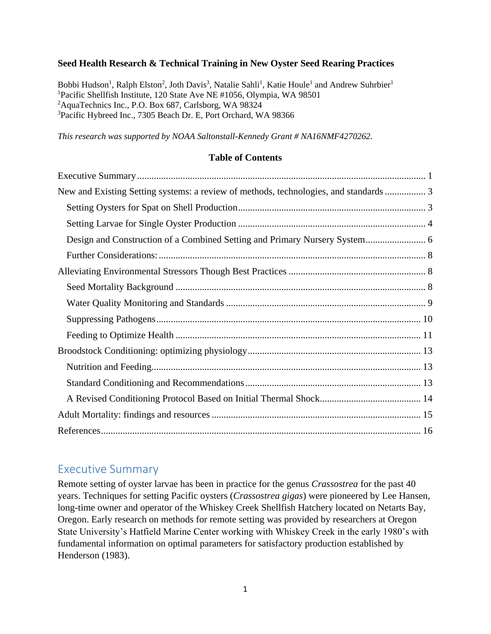#### **Seed Health Research & Technical Training in New Oyster Seed Rearing Practices**

Bobbi Hudson<sup>1</sup>, Ralph Elston<sup>2</sup>, Joth Davis<sup>3</sup>, Natalie Sahli<sup>1</sup>, Katie Houle<sup>1</sup> and Andrew Suhrbier<sup>1</sup> Pacific Shellfish Institute, 120 State Ave NE #1056, Olympia, WA 98501 AquaTechnics Inc., P.O. Box 687, Carlsborg, WA 98324 Pacific Hybreed Inc., 7305 Beach Dr. E, Port Orchard, WA 98366

*This research was supported by NOAA Saltonstall-Kennedy Grant # NA16NMF4270262.*

#### **Table of Contents**

| New and Existing Setting systems: a review of methods, technologies, and standards |  |
|------------------------------------------------------------------------------------|--|
|                                                                                    |  |
|                                                                                    |  |
|                                                                                    |  |
|                                                                                    |  |
|                                                                                    |  |
|                                                                                    |  |
|                                                                                    |  |
|                                                                                    |  |
|                                                                                    |  |
|                                                                                    |  |
|                                                                                    |  |
|                                                                                    |  |
|                                                                                    |  |
|                                                                                    |  |
|                                                                                    |  |

# <span id="page-0-0"></span>Executive Summary

Remote setting of oyster larvae has been in practice for the genus *Crassostrea* for the past 40 years. Techniques for setting Pacific oysters (*Crassostrea gigas*) were pioneered by Lee Hansen, long-time owner and operator of the Whiskey Creek Shellfish Hatchery located on Netarts Bay, Oregon. Early research on methods for remote setting was provided by researchers at Oregon State University's Hatfield Marine Center working with Whiskey Creek in the early 1980's with fundamental information on optimal parameters for satisfactory production established by Henderson (1983).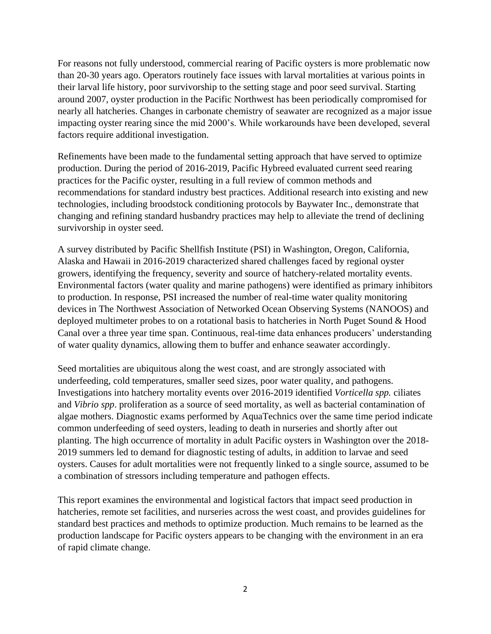For reasons not fully understood, commercial rearing of Pacific oysters is more problematic now than 20-30 years ago. Operators routinely face issues with larval mortalities at various points in their larval life history, poor survivorship to the setting stage and poor seed survival. Starting around 2007, oyster production in the Pacific Northwest has been periodically compromised for nearly all hatcheries. Changes in carbonate chemistry of seawater are recognized as a major issue impacting oyster rearing since the mid 2000's. While workarounds have been developed, several factors require additional investigation.

Refinements have been made to the fundamental setting approach that have served to optimize production. During the period of 2016-2019, Pacific Hybreed evaluated current seed rearing practices for the Pacific oyster, resulting in a full review of common methods and recommendations for standard industry best practices. Additional research into existing and new technologies, including broodstock conditioning protocols by Baywater Inc., demonstrate that changing and refining standard husbandry practices may help to alleviate the trend of declining survivorship in oyster seed.

A survey distributed by Pacific Shellfish Institute (PSI) in Washington, Oregon, California, Alaska and Hawaii in 2016-2019 characterized shared challenges faced by regional oyster growers, identifying the frequency, severity and source of hatchery-related mortality events. Environmental factors (water quality and marine pathogens) were identified as primary inhibitors to production. In response, PSI increased the number of real-time water quality monitoring devices in The Northwest Association of Networked Ocean Observing Systems (NANOOS) and deployed multimeter probes to on a rotational basis to hatcheries in North Puget Sound & Hood Canal over a three year time span. Continuous, real-time data enhances producers' understanding of water quality dynamics, allowing them to buffer and enhance seawater accordingly.

Seed mortalities are ubiquitous along the west coast, and are strongly associated with underfeeding, cold temperatures, smaller seed sizes, poor water quality, and pathogens. Investigations into hatchery mortality events over 2016-2019 identified *Vorticella spp.* ciliates and *Vibrio spp*. proliferation as a source of seed mortality, as well as bacterial contamination of algae mothers. Diagnostic exams performed by AquaTechnics over the same time period indicate common underfeeding of seed oysters, leading to death in nurseries and shortly after out planting. The high occurrence of mortality in adult Pacific oysters in Washington over the 2018- 2019 summers led to demand for diagnostic testing of adults, in addition to larvae and seed oysters. Causes for adult mortalities were not frequently linked to a single source, assumed to be a combination of stressors including temperature and pathogen effects.

This report examines the environmental and logistical factors that impact seed production in hatcheries, remote set facilities, and nurseries across the west coast, and provides guidelines for standard best practices and methods to optimize production. Much remains to be learned as the production landscape for Pacific oysters appears to be changing with the environment in an era of rapid climate change.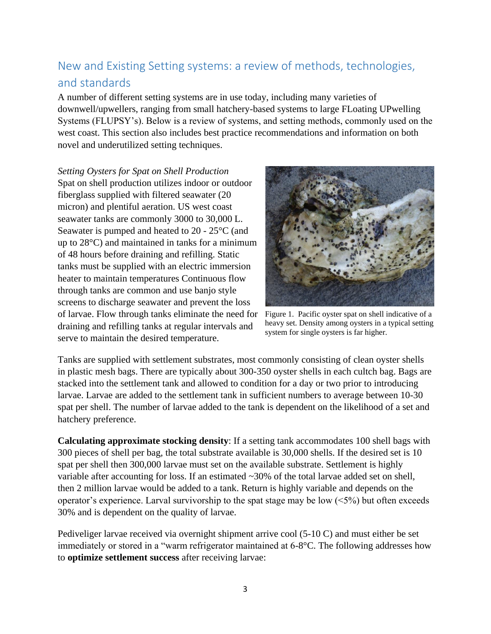# <span id="page-2-0"></span>New and Existing Setting systems: a review of methods, technologies, and standards

A number of different setting systems are in use today, including many varieties of downwell/upwellers, ranging from small hatchery-based systems to large FLoating UPwelling Systems (FLUPSY's). Below is a review of systems, and setting methods, commonly used on the west coast. This section also includes best practice recommendations and information on both novel and underutilized setting techniques.

<span id="page-2-1"></span>*Setting Oysters for Spat on Shell Production* Spat on shell production utilizes indoor or outdoor fiberglass supplied with filtered seawater (20 micron) and plentiful aeration. US west coast seawater tanks are commonly 3000 to 30,000 L. Seawater is pumped and heated to 20 - 25°C (and up to 28°C) and maintained in tanks for a minimum of 48 hours before draining and refilling. Static tanks must be supplied with an electric immersion heater to maintain temperatures Continuous flow through tanks are common and use banjo style screens to discharge seawater and prevent the loss of larvae. Flow through tanks eliminate the need for Figure 1. Pacific oyster spat on shell indicative of a draining and refilling tanks at regular intervals and serve to maintain the desired temperature.



heavy set. Density among oysters in a typical setting system for single oysters is far higher.

Tanks are supplied with settlement substrates, most commonly consisting of clean oyster shells in plastic mesh bags. There are typically about 300-350 oyster shells in each cultch bag. Bags are stacked into the settlement tank and allowed to condition for a day or two prior to introducing larvae. Larvae are added to the settlement tank in sufficient numbers to average between 10-30 spat per shell. The number of larvae added to the tank is dependent on the likelihood of a set and hatchery preference.

**Calculating approximate stocking density**: If a setting tank accommodates 100 shell bags with 300 pieces of shell per bag, the total substrate available is 30,000 shells. If the desired set is 10 spat per shell then 300,000 larvae must set on the available substrate. Settlement is highly variable after accounting for loss. If an estimated ~30% of the total larvae added set on shell, then 2 million larvae would be added to a tank. Return is highly variable and depends on the operator's experience. Larval survivorship to the spat stage may be low  $(<5\%)$  but often exceeds 30% and is dependent on the quality of larvae.

Pediveliger larvae received via overnight shipment arrive cool (5-10 C) and must either be set immediately or stored in a "warm refrigerator maintained at 6-8°C. The following addresses how to **optimize settlement success** after receiving larvae: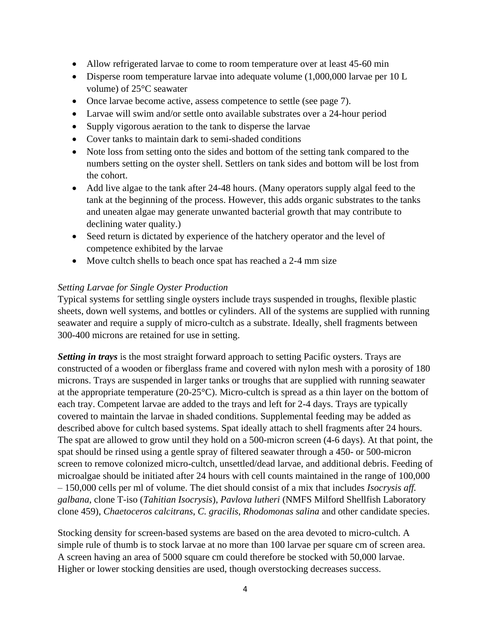- Allow refrigerated larvae to come to room temperature over at least 45-60 min
- Disperse room temperature larvae into adequate volume (1,000,000 larvae per 10 L volume) of 25°C seawater
- Once larvae become active, assess competence to settle (see page 7).
- Larvae will swim and/or settle onto available substrates over a 24-hour period
- Supply vigorous aeration to the tank to disperse the larvae
- Cover tanks to maintain dark to semi-shaded conditions
- Note loss from setting onto the sides and bottom of the setting tank compared to the numbers setting on the oyster shell. Settlers on tank sides and bottom will be lost from the cohort.
- Add live algae to the tank after 24-48 hours. (Many operators supply algal feed to the tank at the beginning of the process. However, this adds organic substrates to the tanks and uneaten algae may generate unwanted bacterial growth that may contribute to declining water quality.)
- Seed return is dictated by experience of the hatchery operator and the level of competence exhibited by the larvae
- Move cultch shells to beach once spat has reached a 2-4 mm size

#### <span id="page-3-0"></span>*Setting Larvae for Single Oyster Production*

Typical systems for settling single oysters include trays suspended in troughs, flexible plastic sheets, down well systems, and bottles or cylinders. All of the systems are supplied with running seawater and require a supply of micro-cultch as a substrate. Ideally, shell fragments between 300-400 microns are retained for use in setting.

*Setting in trays* is the most straight forward approach to setting Pacific oysters. Trays are constructed of a wooden or fiberglass frame and covered with nylon mesh with a porosity of 180 microns. Trays are suspended in larger tanks or troughs that are supplied with running seawater at the appropriate temperature (20-25°C). Micro-cultch is spread as a thin layer on the bottom of each tray. Competent larvae are added to the trays and left for 2-4 days. Trays are typically covered to maintain the larvae in shaded conditions. Supplemental feeding may be added as described above for cultch based systems. Spat ideally attach to shell fragments after 24 hours. The spat are allowed to grow until they hold on a 500-micron screen (4-6 days). At that point, the spat should be rinsed using a gentle spray of filtered seawater through a 450- or 500-micron screen to remove colonized micro-cultch, unsettled/dead larvae, and additional debris. Feeding of microalgae should be initiated after 24 hours with cell counts maintained in the range of 100,000 – 150,000 cells per ml of volume. The diet should consist of a mix that includes *Isocrysis aff. galbana*, clone T-iso (*Tahitian Isocrysis*), *Pavlova lutheri* (NMFS Milford Shellfish Laboratory clone 459), *Chaetoceros calcitrans*, *C. gracilis*, *Rhodomonas salina* and other candidate species.

Stocking density for screen-based systems are based on the area devoted to micro-cultch. A simple rule of thumb is to stock larvae at no more than 100 larvae per square cm of screen area. A screen having an area of 5000 square cm could therefore be stocked with 50,000 larvae. Higher or lower stocking densities are used, though overstocking decreases success.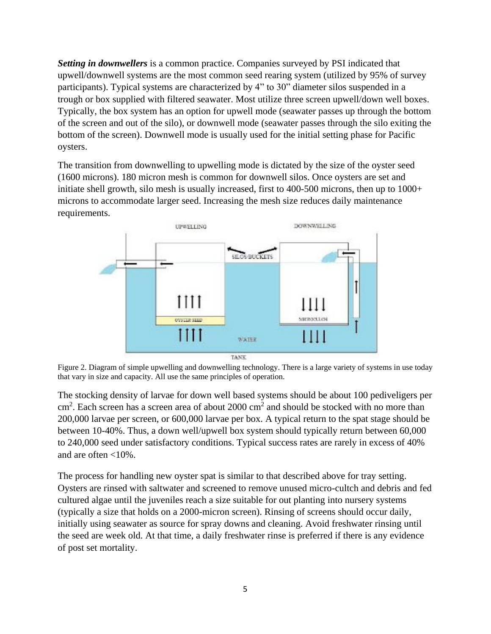*Setting in downwellers* is a common practice. Companies surveyed by PSI indicated that upwell/downwell systems are the most common seed rearing system (utilized by 95% of survey participants). Typical systems are characterized by 4" to 30" diameter silos suspended in a trough or box supplied with filtered seawater. Most utilize three screen upwell/down well boxes. Typically, the box system has an option for upwell mode (seawater passes up through the bottom of the screen and out of the silo), or downwell mode (seawater passes through the silo exiting the bottom of the screen). Downwell mode is usually used for the initial setting phase for Pacific oysters.

The transition from downwelling to upwelling mode is dictated by the size of the oyster seed (1600 microns). 180 micron mesh is common for downwell silos. Once oysters are set and initiate shell growth, silo mesh is usually increased, first to 400-500 microns, then up to 1000+ microns to accommodate larger seed. Increasing the mesh size reduces daily maintenance requirements.



Figure 2. Diagram of simple upwelling and downwelling technology. There is a large variety of systems in use today that vary in size and capacity. All use the same principles of operation.

The stocking density of larvae for down well based systems should be about 100 pediveligers per cm<sup>2</sup>. Each screen has a screen area of about 2000 cm<sup>2</sup> and should be stocked with no more than 200,000 larvae per screen, or 600,000 larvae per box. A typical return to the spat stage should be between 10-40%. Thus, a down well/upwell box system should typically return between 60,000 to 240,000 seed under satisfactory conditions. Typical success rates are rarely in excess of 40% and are often <10%.

The process for handling new oyster spat is similar to that described above for tray setting. Oysters are rinsed with saltwater and screened to remove unused micro-cultch and debris and fed cultured algae until the juveniles reach a size suitable for out planting into nursery systems (typically a size that holds on a 2000-micron screen). Rinsing of screens should occur daily, initially using seawater as source for spray downs and cleaning. Avoid freshwater rinsing until the seed are week old. At that time, a daily freshwater rinse is preferred if there is any evidence of post set mortality.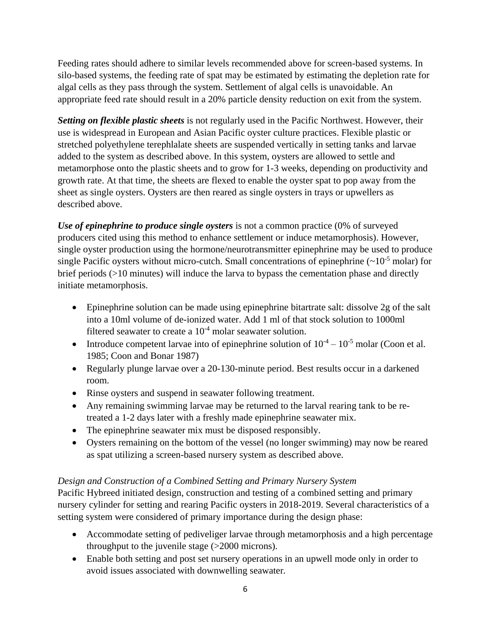Feeding rates should adhere to similar levels recommended above for screen-based systems. In silo-based systems, the feeding rate of spat may be estimated by estimating the depletion rate for algal cells as they pass through the system. Settlement of algal cells is unavoidable. An appropriate feed rate should result in a 20% particle density reduction on exit from the system.

*Setting on flexible plastic sheets* is not regularly used in the Pacific Northwest. However, their use is widespread in European and Asian Pacific oyster culture practices. Flexible plastic or stretched polyethylene terephlalate sheets are suspended vertically in setting tanks and larvae added to the system as described above. In this system, oysters are allowed to settle and metamorphose onto the plastic sheets and to grow for 1-3 weeks, depending on productivity and growth rate. At that time, the sheets are flexed to enable the oyster spat to pop away from the sheet as single oysters. Oysters are then reared as single oysters in trays or upwellers as described above.

*Use of epinephrine to produce single oysters* is not a common practice (0% of surveyed producers cited using this method to enhance settlement or induce metamorphosis). However, single oyster production using the hormone/neurotransmitter epinephrine may be used to produce single Pacific oysters without micro-cutch. Small concentrations of epinephrine  $(\sim 10^{-5}$  molar) for brief periods (>10 minutes) will induce the larva to bypass the cementation phase and directly initiate metamorphosis.

- Epinephrine solution can be made using epinephrine bitartrate salt: dissolve 2g of the salt into a 10ml volume of de-ionized water. Add 1 ml of that stock solution to 1000ml filtered seawater to create a  $10^{-4}$  molar seawater solution.
- Introduce competent larvae into of epinephrine solution of  $10^{-4} 10^{-5}$  molar (Coon et al. 1985; Coon and Bonar 1987)
- Regularly plunge larvae over a 20-130-minute period. Best results occur in a darkened room.
- Rinse oysters and suspend in seawater following treatment.
- Any remaining swimming larvae may be returned to the larval rearing tank to be retreated a 1-2 days later with a freshly made epinephrine seawater mix.
- The epinephrine seawater mix must be disposed responsibly.
- Oysters remaining on the bottom of the vessel (no longer swimming) may now be reared as spat utilizing a screen-based nursery system as described above.

# <span id="page-5-0"></span>*Design and Construction of a Combined Setting and Primary Nursery System*

Pacific Hybreed initiated design, construction and testing of a combined setting and primary nursery cylinder for setting and rearing Pacific oysters in 2018-2019. Several characteristics of a setting system were considered of primary importance during the design phase:

- Accommodate setting of pediveliger larvae through metamorphosis and a high percentage throughput to the juvenile stage (>2000 microns)*.*
- Enable both setting and post set nursery operations in an upwell mode only in order to avoid issues associated with downwelling seawater*.*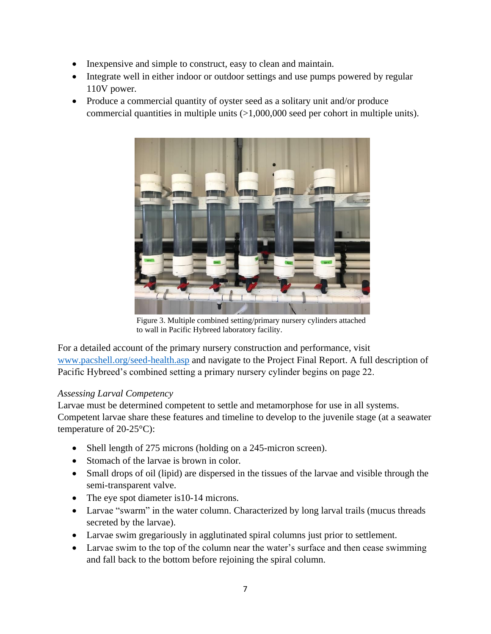- Inexpensive and simple to construct, easy to clean and maintain*.*
- Integrate well in either indoor or outdoor settings and use pumps powered by regular 110V power*.*
- Produce a commercial quantity of oyster seed as a solitary unit and/or produce commercial quantities in multiple units (>1,000,000 seed per cohort in multiple units).



Figure 3. Multiple combined setting/primary nursery cylinders attached to wall in Pacific Hybreed laboratory facility.

For a detailed account of the primary nursery construction and performance, visit [www.pacshell.org/seed-health.asp](http://www.pacshell.org/seed-health.asp) and navigate to the Project Final Report. A full description of Pacific Hybreed's combined setting a primary nursery cylinder begins on page 22.

## *Assessing Larval Competency*

Larvae must be determined competent to settle and metamorphose for use in all systems. Competent larvae share these features and timeline to develop to the juvenile stage (at a seawater temperature of 20-25°C):

- Shell length of 275 microns (holding on a 245-micron screen).
- Stomach of the larvae is brown in color*.*
- Small drops of oil (lipid) are dispersed in the tissues of the larvae and visible through the semi-transparent valve.
- The eye spot diameter is 10-14 microns.
- Larvae "swarm" in the water column. Characterized by long larval trails (mucus threads secreted by the larvae).
- Larvae swim gregariously in agglutinated spiral columns just prior to settlement.
- Larvae swim to the top of the column near the water's surface and then cease swimming and fall back to the bottom before rejoining the spiral column.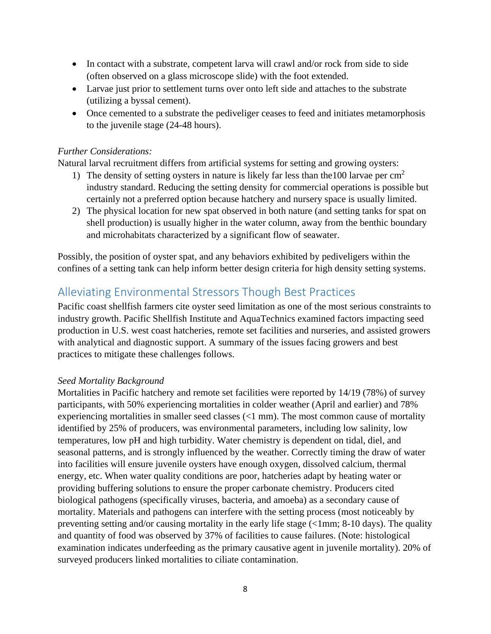- In contact with a substrate, competent larva will crawl and/or rock from side to side (often observed on a glass microscope slide) with the foot extended.
- Larvae just prior to settlement turns over onto left side and attaches to the substrate (utilizing a byssal cement).
- Once cemented to a substrate the pediveliger ceases to feed and initiates metamorphosis to the juvenile stage (24-48 hours).

#### <span id="page-7-0"></span>*Further Considerations:*

Natural larval recruitment differs from artificial systems for setting and growing oysters:

- 1) The density of setting oysters in nature is likely far less than the 100 larvae per  $\text{cm}^2$ industry standard. Reducing the setting density for commercial operations is possible but certainly not a preferred option because hatchery and nursery space is usually limited.
- 2) The physical location for new spat observed in both nature (and setting tanks for spat on shell production) is usually higher in the water column, away from the benthic boundary and microhabitats characterized by a significant flow of seawater.

Possibly, the position of oyster spat, and any behaviors exhibited by pediveligers within the confines of a setting tank can help inform better design criteria for high density setting systems.

# <span id="page-7-1"></span>Alleviating Environmental Stressors Though Best Practices

Pacific coast shellfish farmers cite oyster seed limitation as one of the most serious constraints to industry growth. Pacific Shellfish Institute and AquaTechnics examined factors impacting seed production in U.S. west coast hatcheries, remote set facilities and nurseries, and assisted growers with analytical and diagnostic support. A summary of the issues facing growers and best practices to mitigate these challenges follows.

## <span id="page-7-2"></span>*Seed Mortality Background*

Mortalities in Pacific hatchery and remote set facilities were reported by 14/19 (78%) of survey participants, with 50% experiencing mortalities in colder weather (April and earlier) and 78% experiencing mortalities in smaller seed classes (<1 mm). The most common cause of mortality identified by 25% of producers, was environmental parameters, including low salinity, low temperatures, low pH and high turbidity. Water chemistry is dependent on tidal, diel, and seasonal patterns, and is strongly influenced by the weather. Correctly timing the draw of water into facilities will ensure juvenile oysters have enough oxygen, dissolved calcium, thermal energy, etc. When water quality conditions are poor, hatcheries adapt by heating water or providing buffering solutions to ensure the proper carbonate chemistry. Producers cited biological pathogens (specifically viruses, bacteria, and amoeba) as a secondary cause of mortality. Materials and pathogens can interfere with the setting process (most noticeably by preventing setting and/or causing mortality in the early life stage (<1mm; 8-10 days). The quality and quantity of food was observed by 37% of facilities to cause failures. (Note: histological examination indicates underfeeding as the primary causative agent in juvenile mortality). 20% of surveyed producers linked mortalities to ciliate contamination.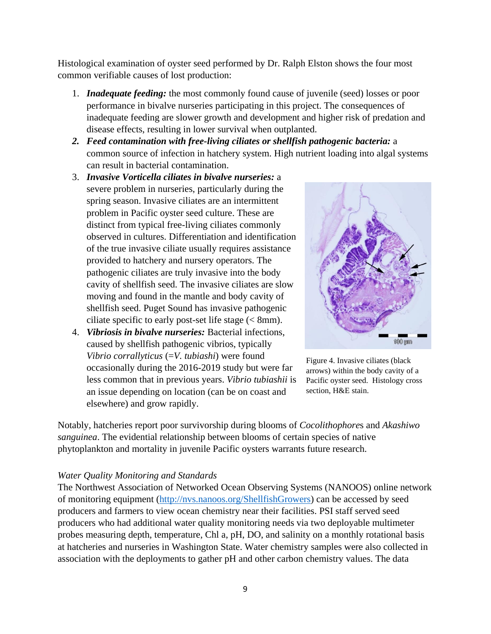Histological examination of oyster seed performed by Dr. Ralph Elston shows the four most common verifiable causes of lost production:

- 1. *Inadequate feeding:* the most commonly found cause of juvenile (seed) losses or poor performance in bivalve nurseries participating in this project. The consequences of inadequate feeding are slower growth and development and higher risk of predation and disease effects, resulting in lower survival when outplanted.
- *2. Feed contamination with free-living ciliates or shellfish pathogenic bacteria:* a common source of infection in hatchery system. High nutrient loading into algal systems can result in bacterial contamination.
- 3. *Invasive Vorticella ciliates in bivalve nurseries:* a severe problem in nurseries, particularly during the spring season. Invasive ciliates are an intermittent problem in Pacific oyster seed culture. These are distinct from typical free-living ciliates commonly observed in cultures. Differentiation and identification of the true invasive ciliate usually requires assistance provided to hatchery and nursery operators. The pathogenic ciliates are truly invasive into the body cavity of shellfish seed. The invasive ciliates are slow moving and found in the mantle and body cavity of shellfish seed. Puget Sound has invasive pathogenic ciliate specific to early post-set life stage  $\ll 8$ mm).
- 4. *Vibriosis in bivalve nurseries:* Bacterial infections, caused by shellfish pathogenic vibrios, typically *Vibrio corrallyticus* (=*V. tubiashi*) were found occasionally during the 2016-2019 study but were far less common that in previous years. *Vibrio tubiashii* is an issue depending on location (can be on coast and elsewhere) and grow rapidly.



Figure 4. Invasive ciliates (black arrows) within the body cavity of a Pacific oyster seed. Histology cross section, H&E stain.

Notably, hatcheries report poor survivorship during blooms of *Cocolithophore*s and *Akashiwo sanguinea*. The evidential relationship between blooms of certain species of native phytoplankton and mortality in juvenile Pacific oysters warrants future research.

#### <span id="page-8-0"></span>*Water Quality Monitoring and Standards*

The Northwest Association of Networked Ocean Observing Systems (NANOOS) online network of monitoring equipment [\(http://nvs.nanoos.org/ShellfishGrowers\)](http://nvs.nanoos.org/ShellfishGrowers) can be accessed by seed producers and farmers to view ocean chemistry near their facilities. PSI staff served seed producers who had additional water quality monitoring needs via two deployable multimeter probes measuring depth, temperature, Chl a, pH, DO, and salinity on a monthly rotational basis at hatcheries and nurseries in Washington State. Water chemistry samples were also collected in association with the deployments to gather pH and other carbon chemistry values. The data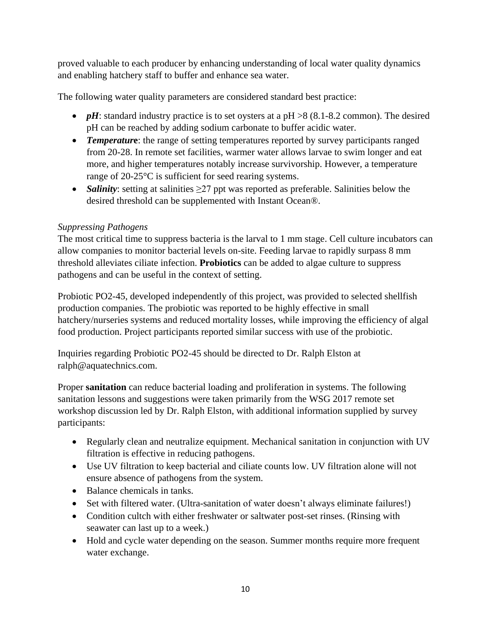proved valuable to each producer by enhancing understanding of local water quality dynamics and enabling hatchery staff to buffer and enhance sea water.

The following water quality parameters are considered standard best practice:

- *pH*: standard industry practice is to set oysters at a  $pH > 8$  (8.1-8.2 common). The desired pH can be reached by adding sodium carbonate to buffer acidic water.
- **Temperature**: the range of setting temperatures reported by survey participants ranged from 20-28. In remote set facilities, warmer water allows larvae to swim longer and eat more, and higher temperatures notably increase survivorship. However, a temperature range of 20-25°C is sufficient for seed rearing systems.
- *Salinity*: setting at salinities ≥27 ppt was reported as preferable. Salinities below the desired threshold can be supplemented with Instant Ocean®.

## <span id="page-9-0"></span>*Suppressing Pathogens*

The most critical time to suppress bacteria is the larval to 1 mm stage. Cell culture incubators can allow companies to monitor bacterial levels on-site. Feeding larvae to rapidly surpass 8 mm threshold alleviates ciliate infection. **Probiotics** can be added to algae culture to suppress pathogens and can be useful in the context of setting.

Probiotic PO2-45, developed independently of this project, was provided to selected shellfish production companies. The probiotic was reported to be highly effective in small hatchery/nurseries systems and reduced mortality losses, while improving the efficiency of algal food production. Project participants reported similar success with use of the probiotic.

Inquiries regarding Probiotic PO2-45 should be directed to Dr. Ralph Elston at ralph@aquatechnics.com.

Proper **sanitation** can reduce bacterial loading and proliferation in systems. The following sanitation lessons and suggestions were taken primarily from the WSG 2017 remote set workshop discussion led by Dr. Ralph Elston, with additional information supplied by survey participants:

- Regularly clean and neutralize equipment. Mechanical sanitation in conjunction with UV filtration is effective in reducing pathogens.
- Use UV filtration to keep bacterial and ciliate counts low. UV filtration alone will not ensure absence of pathogens from the system.
- Balance chemicals in tanks.
- Set with filtered water. (Ultra-sanitation of water doesn't always eliminate failures!)
- Condition cultch with either freshwater or saltwater post-set rinses. (Rinsing with seawater can last up to a week.)
- Hold and cycle water depending on the season. Summer months require more frequent water exchange.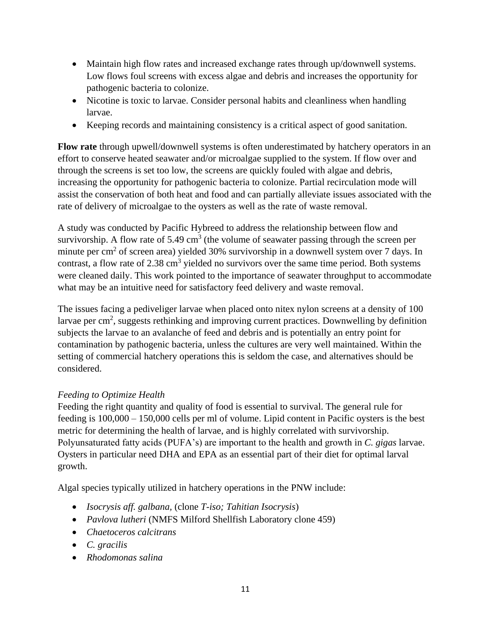- Maintain high flow rates and increased exchange rates through up/downwell systems. Low flows foul screens with excess algae and debris and increases the opportunity for pathogenic bacteria to colonize.
- Nicotine is toxic to larvae. Consider personal habits and cleanliness when handling larvae.
- Keeping records and maintaining consistency is a critical aspect of good sanitation.

**Flow rate** through upwell/downwell systems is often underestimated by hatchery operators in an effort to conserve heated seawater and/or microalgae supplied to the system. If flow over and through the screens is set too low, the screens are quickly fouled with algae and debris, increasing the opportunity for pathogenic bacteria to colonize. Partial recirculation mode will assist the conservation of both heat and food and can partially alleviate issues associated with the rate of delivery of microalgae to the oysters as well as the rate of waste removal.

A study was conducted by Pacific Hybreed to address the relationship between flow and survivorship. A flow rate of 5.49  $\text{cm}^3$  (the volume of seawater passing through the screen per minute per cm<sup>2</sup> of screen area) yielded  $30\%$  survivorship in a downwell system over 7 days. In contrast, a flow rate of 2.38 cm<sup>3</sup> yielded no survivors over the same time period. Both systems were cleaned daily. This work pointed to the importance of seawater throughput to accommodate what may be an intuitive need for satisfactory feed delivery and waste removal.

The issues facing a pediveliger larvae when placed onto nitex nylon screens at a density of 100 larvae per  $\text{cm}^2$ , suggests rethinking and improving current practices. Downwelling by definition subjects the larvae to an avalanche of feed and debris and is potentially an entry point for contamination by pathogenic bacteria, unless the cultures are very well maintained. Within the setting of commercial hatchery operations this is seldom the case, and alternatives should be considered.

# <span id="page-10-0"></span>*Feeding to Optimize Health*

Feeding the right quantity and quality of food is essential to survival. The general rule for feeding is 100,000 – 150,000 cells per ml of volume. Lipid content in Pacific oysters is the best metric for determining the health of larvae, and is highly correlated with survivorship. Polyunsaturated fatty acids (PUFA's) are important to the health and growth in *C. gigas* larvae. Oysters in particular need DHA and EPA as an essential part of their diet for optimal larval growth.

Algal species typically utilized in hatchery operations in the PNW include:

- *Isocrysis aff. galbana,* (clone *T-iso; Tahitian Isocrysis*)
- *Pavlova lutheri* (NMFS Milford Shellfish Laboratory clone 459)
- *Chaetoceros calcitrans*
- *C. gracilis*
- *Rhodomonas salina*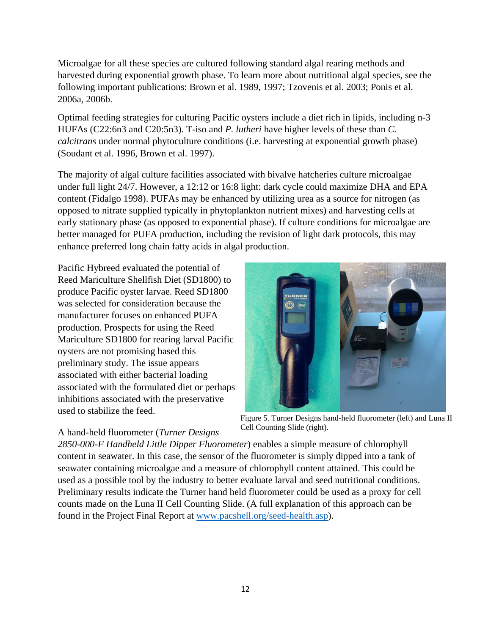Microalgae for all these species are cultured following standard algal rearing methods and harvested during exponential growth phase. To learn more about nutritional algal species, see the following important publications: Brown et al. 1989, 1997; Tzovenis et al. 2003; Ponis et al. 2006a, 2006b.

Optimal feeding strategies for culturing Pacific oysters include a diet rich in lipids, including n-3 HUFAs (C22:6n3 and C20:5n3). T-iso and *P. lutheri* have higher levels of these than *C. calcitrans* under normal phytoculture conditions (i.e. harvesting at exponential growth phase) (Soudant et al. 1996, Brown et al. 1997).

The majority of algal culture facilities associated with bivalve hatcheries culture microalgae under full light 24/7. However, a 12:12 or 16:8 light: dark cycle could maximize DHA and EPA content (Fidalgo 1998). PUFAs may be enhanced by utilizing urea as a source for nitrogen (as opposed to nitrate supplied typically in phytoplankton nutrient mixes) and harvesting cells at early stationary phase (as opposed to exponential phase). If culture conditions for microalgae are better managed for PUFA production, including the revision of light dark protocols, this may enhance preferred long chain fatty acids in algal production.

Pacific Hybreed evaluated the potential of Reed Mariculture Shellfish Diet (SD1800) to produce Pacific oyster larvae. Reed SD1800 was selected for consideration because the manufacturer focuses on enhanced PUFA production. Prospects for using the Reed Mariculture SD1800 for rearing larval Pacific oysters are not promising based this preliminary study. The issue appears associated with either bacterial loading associated with the formulated diet or perhaps inhibitions associated with the preservative used to stabilize the feed.

# A hand-held fluorometer (*Turner Designs*

Figure 5. Turner Designs hand-held fluorometer (left) and Luna II Cell Counting Slide (right).

*2850-000-F Handheld Little Dipper Fluorometer*) enables a simple measure of chlorophyll content in seawater. In this case, the sensor of the fluorometer is simply dipped into a tank of seawater containing microalgae and a measure of chlorophyll content attained. This could be used as a possible tool by the industry to better evaluate larval and seed nutritional conditions. Preliminary results indicate the Turner hand held fluorometer could be used as a proxy for cell counts made on the Luna II Cell Counting Slide. (A full explanation of this approach can be found in the Project Final Report at [www.pacshell.org/seed-health.asp\)](http://www.pacshell.org/seed-health.asp).

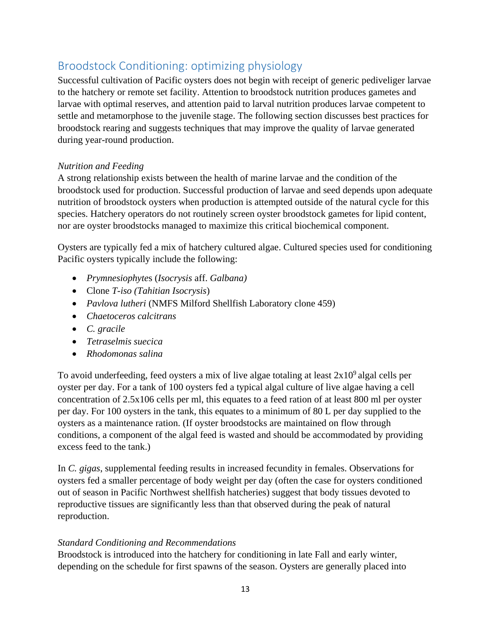# <span id="page-12-0"></span>Broodstock Conditioning: optimizing physiology

Successful cultivation of Pacific oysters does not begin with receipt of generic pediveliger larvae to the hatchery or remote set facility. Attention to broodstock nutrition produces gametes and larvae with optimal reserves, and attention paid to larval nutrition produces larvae competent to settle and metamorphose to the juvenile stage. The following section discusses best practices for broodstock rearing and suggests techniques that may improve the quality of larvae generated during year-round production.

## <span id="page-12-1"></span>*Nutrition and Feeding*

A strong relationship exists between the health of marine larvae and the condition of the broodstock used for production. Successful production of larvae and seed depends upon adequate nutrition of broodstock oysters when production is attempted outside of the natural cycle for this species. Hatchery operators do not routinely screen oyster broodstock gametes for lipid content, nor are oyster broodstocks managed to maximize this critical biochemical component.

Oysters are typically fed a mix of hatchery cultured algae. Cultured species used for conditioning Pacific oysters typically include the following:

- *Prymnesiophyte*s (*Isocrysis* aff. *Galbana)*
- Clone *T-iso (Tahitian Isocrysis*)
- *Pavlova lutheri* (NMFS Milford Shellfish Laboratory clone 459)
- *Chaetoceros calcitrans*
- *C. gracile*
- *Tetraselmis suecica*
- *Rhodomonas salina*

To avoid underfeeding, feed oysters a mix of live algae totaling at least  $2x10<sup>9</sup>$  algal cells per oyster per day. For a tank of 100 oysters fed a typical algal culture of live algae having a cell concentration of 2.5x106 cells per ml, this equates to a feed ration of at least 800 ml per oyster per day. For 100 oysters in the tank, this equates to a minimum of 80 L per day supplied to the oysters as a maintenance ration. (If oyster broodstocks are maintained on flow through conditions, a component of the algal feed is wasted and should be accommodated by providing excess feed to the tank.)

In *C. gigas*, supplemental feeding results in increased fecundity in females. Observations for oysters fed a smaller percentage of body weight per day (often the case for oysters conditioned out of season in Pacific Northwest shellfish hatcheries) suggest that body tissues devoted to reproductive tissues are significantly less than that observed during the peak of natural reproduction.

## <span id="page-12-2"></span>*Standard Conditioning and Recommendations*

Broodstock is introduced into the hatchery for conditioning in late Fall and early winter, depending on the schedule for first spawns of the season. Oysters are generally placed into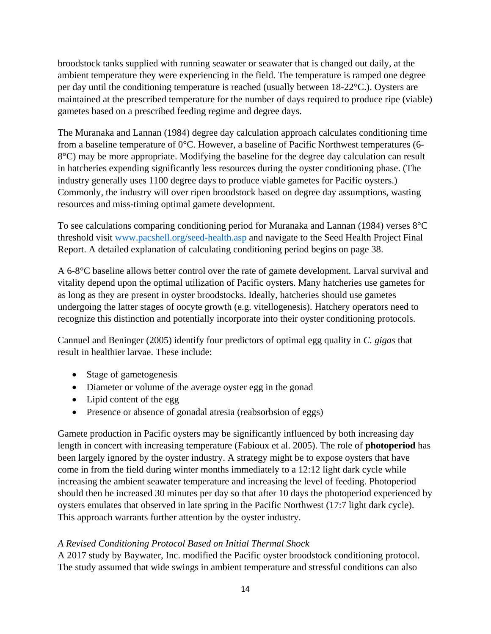broodstock tanks supplied with running seawater or seawater that is changed out daily, at the ambient temperature they were experiencing in the field. The temperature is ramped one degree per day until the conditioning temperature is reached (usually between 18-22°C.). Oysters are maintained at the prescribed temperature for the number of days required to produce ripe (viable) gametes based on a prescribed feeding regime and degree days.

The Muranaka and Lannan (1984) degree day calculation approach calculates conditioning time from a baseline temperature of 0°C. However, a baseline of Pacific Northwest temperatures (6- 8°C) may be more appropriate. Modifying the baseline for the degree day calculation can result in hatcheries expending significantly less resources during the oyster conditioning phase. (The industry generally uses 1100 degree days to produce viable gametes for Pacific oysters.) Commonly, the industry will over ripen broodstock based on degree day assumptions, wasting resources and miss-timing optimal gamete development.

To see calculations comparing conditioning period for Muranaka and Lannan (1984) verses 8°C threshold visit [www.pacshell.org/seed-health.asp](http://www.pacshell.org/seed-health.asp) and navigate to the Seed Health Project Final Report. A detailed explanation of calculating conditioning period begins on page 38.

A 6-8°C baseline allows better control over the rate of gamete development. Larval survival and vitality depend upon the optimal utilization of Pacific oysters. Many hatcheries use gametes for as long as they are present in oyster broodstocks. Ideally, hatcheries should use gametes undergoing the latter stages of oocyte growth (e.g. vitellogenesis). Hatchery operators need to recognize this distinction and potentially incorporate into their oyster conditioning protocols.

Cannuel and Beninger (2005) identify four predictors of optimal egg quality in *C. gigas* that result in healthier larvae. These include:

- Stage of gametogenesis
- Diameter or volume of the average oyster egg in the gonad
- Lipid content of the egg
- Presence or absence of gonadal atresia (reabsorbsion of eggs)

Gamete production in Pacific oysters may be significantly influenced by both increasing day length in concert with increasing temperature (Fabioux et al. 2005). The role of **photoperiod** has been largely ignored by the oyster industry. A strategy might be to expose oysters that have come in from the field during winter months immediately to a 12:12 light dark cycle while increasing the ambient seawater temperature and increasing the level of feeding. Photoperiod should then be increased 30 minutes per day so that after 10 days the photoperiod experienced by oysters emulates that observed in late spring in the Pacific Northwest (17:7 light dark cycle). This approach warrants further attention by the oyster industry.

# <span id="page-13-0"></span>*A Revised Conditioning Protocol Based on Initial Thermal Shock*

A 2017 study by Baywater, Inc. modified the Pacific oyster broodstock conditioning protocol. The study assumed that wide swings in ambient temperature and stressful conditions can also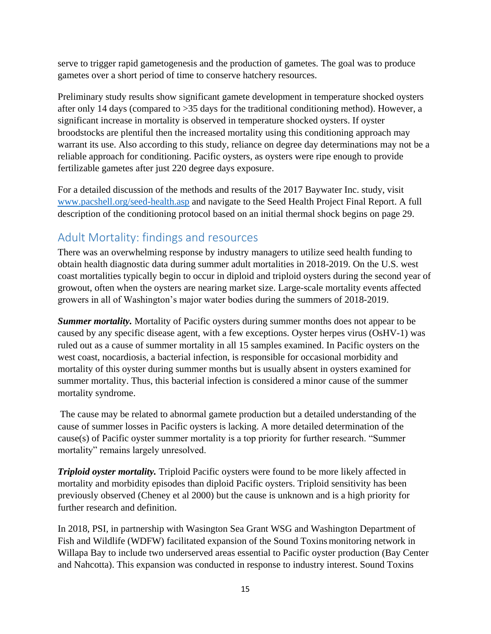serve to trigger rapid gametogenesis and the production of gametes. The goal was to produce gametes over a short period of time to conserve hatchery resources.

Preliminary study results show significant gamete development in temperature shocked oysters after only 14 days (compared to >35 days for the traditional conditioning method). However, a significant increase in mortality is observed in temperature shocked oysters. If oyster broodstocks are plentiful then the increased mortality using this conditioning approach may warrant its use. Also according to this study, reliance on degree day determinations may not be a reliable approach for conditioning. Pacific oysters, as oysters were ripe enough to provide fertilizable gametes after just 220 degree days exposure.

For a detailed discussion of the methods and results of the 2017 Baywater Inc. study, visit [www.pacshell.org/seed-health.asp](http://www.pacshell.org/seed-health.asp) and navigate to the Seed Health Project Final Report. A full description of the conditioning protocol based on an initial thermal shock begins on page 29.

# <span id="page-14-0"></span>Adult Mortality: findings and resources

There was an overwhelming response by industry managers to utilize seed health funding to obtain health diagnostic data during summer adult mortalities in 2018-2019. On the U.S. west coast mortalities typically begin to occur in diploid and triploid oysters during the second year of growout, often when the oysters are nearing market size. Large-scale mortality events affected growers in all of Washington's major water bodies during the summers of 2018-2019.

*Summer mortality.* Mortality of Pacific oysters during summer months does not appear to be caused by any specific disease agent, with a few exceptions. Oyster herpes virus (OsHV-1) was ruled out as a cause of summer mortality in all 15 samples examined. In Pacific oysters on the west coast, nocardiosis, a bacterial infection, is responsible for occasional morbidity and mortality of this oyster during summer months but is usually absent in oysters examined for summer mortality. Thus, this bacterial infection is considered a minor cause of the summer mortality syndrome.

The cause may be related to abnormal gamete production but a detailed understanding of the cause of summer losses in Pacific oysters is lacking. A more detailed determination of the cause(s) of Pacific oyster summer mortality is a top priority for further research. "Summer mortality" remains largely unresolved.

*Triploid oyster mortality.* Triploid Pacific oysters were found to be more likely affected in mortality and morbidity episodes than diploid Pacific oysters. Triploid sensitivity has been previously observed (Cheney et al 2000) but the cause is unknown and is a high priority for further research and definition.

In 2018, PSI, in partnership with Wasington Sea Grant WSG and Washington Department of Fish and Wildlife (WDFW) facilitated expansion of the Sound Toxins monitoring network in Willapa Bay to include two underserved areas essential to Pacific oyster production (Bay Center and Nahcotta). This expansion was conducted in response to industry interest. Sound Toxins